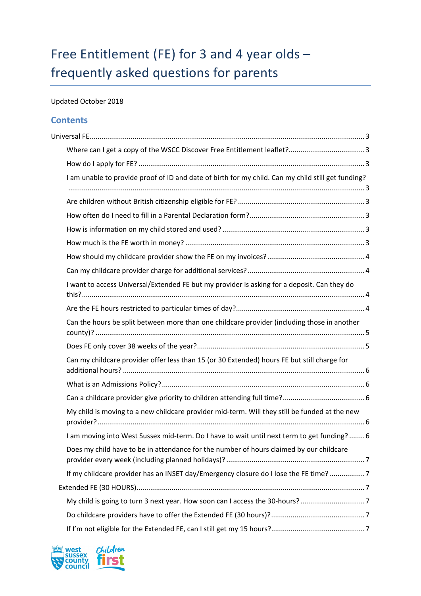# Free Entitlement (FE) for 3 and 4 year olds – frequently asked questions for parents

# Updated October 2018

# **Contents**

| I am unable to provide proof of ID and date of birth for my child. Can my child still get funding? |
|----------------------------------------------------------------------------------------------------|
|                                                                                                    |
|                                                                                                    |
|                                                                                                    |
|                                                                                                    |
|                                                                                                    |
|                                                                                                    |
| I want to access Universal/Extended FE but my provider is asking for a deposit. Can they do        |
|                                                                                                    |
| Can the hours be split between more than one childcare provider (including those in another        |
|                                                                                                    |
| Can my childcare provider offer less than 15 (or 30 Extended) hours FE but still charge for        |
|                                                                                                    |
|                                                                                                    |
| My child is moving to a new childcare provider mid-term. Will they still be funded at the new      |
| I am moving into West Sussex mid-term. Do I have to wait until next term to get funding? 6         |
| Does my child have to be in attendance for the number of hours claimed by our childcare            |
| If my childcare provider has an INSET day/Emergency closure do I lose the FE time?7                |
|                                                                                                    |
| My child is going to turn 3 next year. How soon can I access the 30-hours?7                        |
|                                                                                                    |
|                                                                                                    |

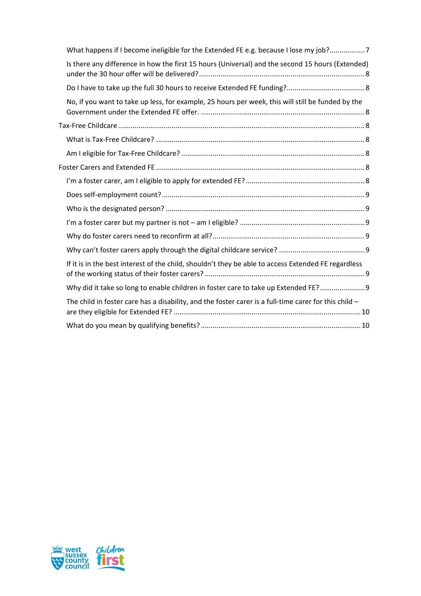| What happens if I become ineligible for the Extended FE e.g. because I lose my job?7                    |  |
|---------------------------------------------------------------------------------------------------------|--|
| Is there any difference in how the first 15 hours (Universal) and the second 15 hours (Extended)        |  |
|                                                                                                         |  |
| No, if you want to take up less, for example, 25 hours per week, this will still be funded by the       |  |
|                                                                                                         |  |
|                                                                                                         |  |
|                                                                                                         |  |
|                                                                                                         |  |
|                                                                                                         |  |
|                                                                                                         |  |
|                                                                                                         |  |
|                                                                                                         |  |
|                                                                                                         |  |
|                                                                                                         |  |
| If it is in the best interest of the child, shouldn't they be able to access Extended FE regardless     |  |
| Why did it take so long to enable children in foster care to take up Extended FE? 9                     |  |
| The child in foster care has a disability, and the foster carer is a full-time carer for this child $-$ |  |
|                                                                                                         |  |

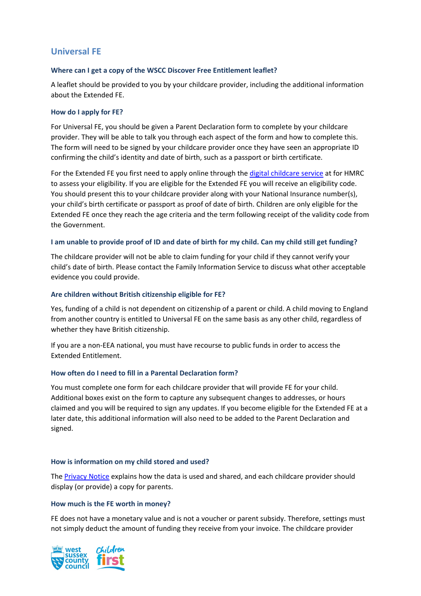# <span id="page-2-0"></span>**Universal FE**

### <span id="page-2-1"></span>**Where can I get a copy of the WSCC Discover Free Entitlement leaflet?**

A leaflet should be provided to you by your childcare provider, including the additional information about the Extended FE.

#### <span id="page-2-2"></span>**How do I apply for FE?**

For Universal FE, you should be given a Parent Declaration form to complete by your childcare provider. They will be able to talk you through each aspect of the form and how to complete this. The form will need to be signed by your childcare provider once they have seen an appropriate ID confirming the child's identity and date of birth, such as a passport or birth certificate.

For the Extended FE you first need to apply online through the [digital childcare service](https://www.childcarechoices.gov.uk/) at for HMRC to assess your eligibility. If you are eligible for the Extended FE you will receive an eligibility code. You should present this to your childcare provider along with your National Insurance number(s), your child's birth certificate or passport as proof of date of birth. Children are only eligible for the Extended FE once they reach the age criteria and the term following receipt of the validity code from the Government.

#### <span id="page-2-3"></span>**I am unable to provide proof of ID and date of birth for my child. Can my child still get funding?**

The childcare provider will not be able to claim funding for your child if they cannot verify your child's date of birth. Please contact the Family Information Service to discuss what other acceptable evidence you could provide.

#### <span id="page-2-4"></span>**Are children without British citizenship eligible for FE?**

Yes, funding of a child is not dependent on citizenship of a parent or child. A child moving to England from another country is entitled to Universal FE on the same basis as any other child, regardless of whether they have British citizenship.

If you are a non-EEA national, you must have recourse to public funds in order to access the Extended Entitlement.

### <span id="page-2-5"></span>**How often do I need to fill in a Parental Declaration form?**

You must complete one form for each childcare provider that will provide FE for your child. Additional boxes exist on the form to capture any subsequent changes to addresses, or hours claimed and you will be required to sign any updates. If you become eligible for the Extended FE at a later date, this additional information will also need to be added to the Parent Declaration and signed.

#### <span id="page-2-6"></span>**How is information on my child stored and used?**

The [Privacy Notice](https://www.westsussex.gov.uk/about-the-council/information-and-data/data-protection/privacy-notices/parents-accessing-early-years-and-childcare-provision-privacy-notice/) explains how the data is used and shared, and each childcare provider should display (or provide) a copy for parents.

#### <span id="page-2-7"></span>**How much is the FE worth in money?**

FE does not have a monetary value and is not a voucher or parent subsidy. Therefore, settings must not simply deduct the amount of funding they receive from your invoice. The childcare provider

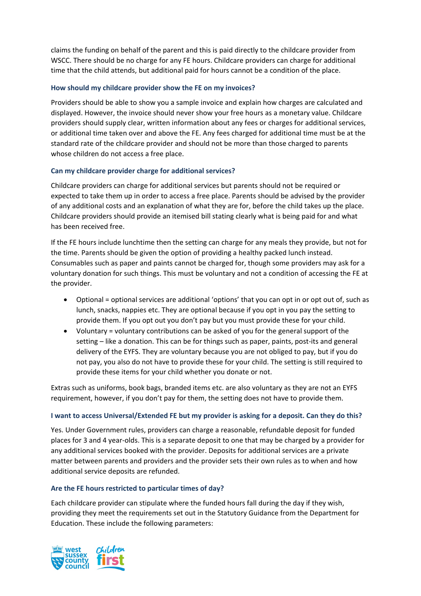claims the funding on behalf of the parent and this is paid directly to the childcare provider from WSCC. There should be no charge for any FE hours. Childcare providers can charge for additional time that the child attends, but additional paid for hours cannot be a condition of the place.

#### <span id="page-3-0"></span>**How should my childcare provider show the FE on my invoices?**

Providers should be able to show you a sample invoice and explain how charges are calculated and displayed. However, the invoice should never show your free hours as a monetary value. Childcare providers should supply clear, written information about any fees or charges for additional services, or additional time taken over and above the FE. Any fees charged for additional time must be at the standard rate of the childcare provider and should not be more than those charged to parents whose children do not access a free place.

#### <span id="page-3-1"></span>**Can my childcare provider charge for additional services?**

Childcare providers can charge for additional services but parents should not be required or expected to take them up in order to access a free place. Parents should be advised by the provider of any additional costs and an explanation of what they are for, before the child takes up the place. Childcare providers should provide an itemised bill stating clearly what is being paid for and what has been received free.

If the FE hours include lunchtime then the setting can charge for any meals they provide, but not for the time. Parents should be given the option of providing a healthy packed lunch instead. Consumables such as paper and paints cannot be charged for, though some providers may ask for a voluntary donation for such things. This must be voluntary and not a condition of accessing the FE at the provider.

- Optional = optional services are additional 'options' that you can opt in or opt out of, such as lunch, snacks, nappies etc. They are optional because if you opt in you pay the setting to provide them. If you opt out you don't pay but you must provide these for your child.
- Voluntary = voluntary contributions can be asked of you for the general support of the setting – like a donation. This can be for things such as paper, paints, post-its and general delivery of the EYFS. They are voluntary because you are not obliged to pay, but if you do not pay, you also do not have to provide these for your child. The setting is still required to provide these items for your child whether you donate or not.

Extras such as uniforms, book bags, branded items etc. are also voluntary as they are not an EYFS requirement, however, if you don't pay for them, the setting does not have to provide them.

#### <span id="page-3-2"></span>**I want to access Universal/Extended FE but my provider is asking for a deposit. Can they do this?**

Yes. Under Government rules, providers can charge a reasonable, refundable deposit for funded places for 3 and 4 year-olds. This is a separate deposit to one that may be charged by a provider for any additional services booked with the provider. Deposits for additional services are a private matter between parents and providers and the provider sets their own rules as to when and how additional service deposits are refunded.

### <span id="page-3-3"></span>**Are the FE hours restricted to particular times of day?**

Each childcare provider can stipulate where the funded hours fall during the day if they wish, providing they meet the requirements set out in the Statutory Guidance from the Department for Education. These include the following parameters:

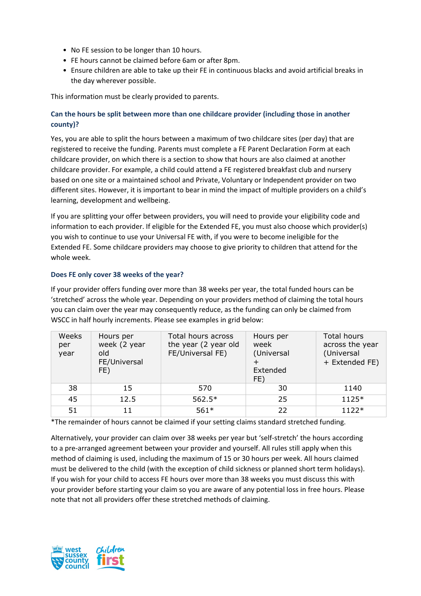- No FE session to be longer than 10 hours.
- FE hours cannot be claimed before 6am or after 8pm.
- Ensure children are able to take up their FE in continuous blacks and avoid artificial breaks in the day wherever possible.

This information must be clearly provided to parents.

# <span id="page-4-0"></span>**Can the hours be split between more than one childcare provider (including those in another county)?**

Yes, you are able to split the hours between a maximum of two childcare sites (per day) that are registered to receive the funding. Parents must complete a FE Parent Declaration Form at each childcare provider, on which there is a section to show that hours are also claimed at another childcare provider. For example, a child could attend a FE registered breakfast club and nursery based on one site or a maintained school and Private, Voluntary or Independent provider on two different sites. However, it is important to bear in mind the impact of multiple providers on a child's learning, development and wellbeing.

If you are splitting your offer between providers, you will need to provide your eligibility code and information to each provider. If eligible for the Extended FE, you must also choose which provider(s) you wish to continue to use your Universal FE with, if you were to become ineligible for the Extended FE. Some childcare providers may choose to give priority to children that attend for the whole week.

# <span id="page-4-1"></span>**Does FE only cover 38 weeks of the year?**

If your provider offers funding over more than 38 weeks per year, the total funded hours can be 'stretched' across the whole year. Depending on your providers method of claiming the total hours you can claim over the year may consequently reduce, as the funding can only be claimed from WSCC in half hourly increments. Please see examples in grid below:

| Weeks<br>per<br>year | Hours per<br>week (2 year<br>old<br>FE/Universal<br>FE) | Total hours across<br>the year (2 year old<br>FE/Universal FE) | Hours per<br>week<br>(Universal<br>Extended<br>FE) | <b>Total hours</b><br>across the year<br>(Universal<br>+ Extended FE) |
|----------------------|---------------------------------------------------------|----------------------------------------------------------------|----------------------------------------------------|-----------------------------------------------------------------------|
| 38                   | 15                                                      | 570                                                            | 30                                                 | 1140                                                                  |
| 45                   | 12.5                                                    | $562.5*$                                                       | 25                                                 | $1125*$                                                               |
| 51                   | 11                                                      | $561*$                                                         | 22                                                 | $1122*$                                                               |

\*The remainder of hours cannot be claimed if your setting claims standard stretched funding.

Alternatively, your provider can claim over 38 weeks per year but 'self-stretch' the hours according to a pre-arranged agreement between your provider and yourself. All rules still apply when this method of claiming is used, including the maximum of 15 or 30 hours per week. All hours claimed must be delivered to the child (with the exception of child sickness or planned short term holidays). If you wish for your child to access FE hours over more than 38 weeks you must discuss this with your provider before starting your claim so you are aware of any potential loss in free hours. Please note that not all providers offer these stretched methods of claiming.

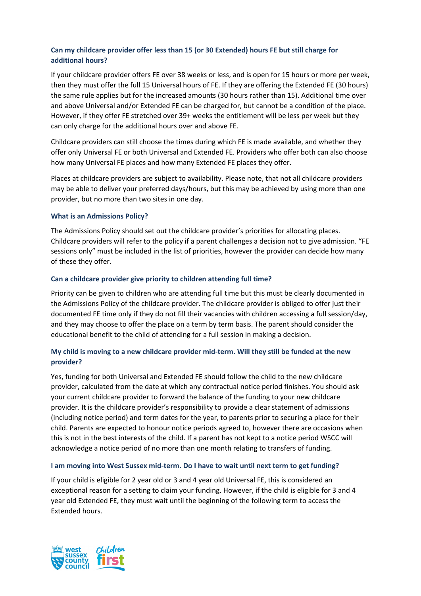# <span id="page-5-0"></span>**Can my childcare provider offer less than 15 (or 30 Extended) hours FE but still charge for additional hours?**

If your childcare provider offers FE over 38 weeks or less, and is open for 15 hours or more per week, then they must offer the full 15 Universal hours of FE. If they are offering the Extended FE (30 hours) the same rule applies but for the increased amounts (30 hours rather than 15). Additional time over and above Universal and/or Extended FE can be charged for, but cannot be a condition of the place. However, if they offer FE stretched over 39+ weeks the entitlement will be less per week but they can only charge for the additional hours over and above FE.

Childcare providers can still choose the times during which FE is made available, and whether they offer only Universal FE or both Universal and Extended FE. Providers who offer both can also choose how many Universal FE places and how many Extended FE places they offer.

Places at childcare providers are subject to availability. Please note, that not all childcare providers may be able to deliver your preferred days/hours, but this may be achieved by using more than one provider, but no more than two sites in one day.

#### <span id="page-5-1"></span>**What is an Admissions Policy?**

The Admissions Policy should set out the childcare provider's priorities for allocating places. Childcare providers will refer to the policy if a parent challenges a decision not to give admission. "FE sessions only" must be included in the list of priorities, however the provider can decide how many of these they offer.

#### <span id="page-5-2"></span>**Can a childcare provider give priority to children attending full time?**

Priority can be given to children who are attending full time but this must be clearly documented in the Admissions Policy of the childcare provider. The childcare provider is obliged to offer just their documented FE time only if they do not fill their vacancies with children accessing a full session/day, and they may choose to offer the place on a term by term basis. The parent should consider the educational benefit to the child of attending for a full session in making a decision.

# <span id="page-5-3"></span>**My child is moving to a new childcare provider mid-term. Will they still be funded at the new provider?**

Yes, funding for both Universal and Extended FE should follow the child to the new childcare provider, calculated from the date at which any contractual notice period finishes. You should ask your current childcare provider to forward the balance of the funding to your new childcare provider. It is the childcare provider's responsibility to provide a clear statement of admissions (including notice period) and term dates for the year, to parents prior to securing a place for their child. Parents are expected to honour notice periods agreed to, however there are occasions when this is not in the best interests of the child. If a parent has not kept to a notice period WSCC will acknowledge a notice period of no more than one month relating to transfers of funding.

#### <span id="page-5-4"></span>**I am moving into West Sussex mid-term. Do I have to wait until next term to get funding?**

If your child is eligible for 2 year old or 3 and 4 year old Universal FE, this is considered an exceptional reason for a setting to claim your funding. However, if the child is eligible for 3 and 4 year old Extended FE, they must wait until the beginning of the following term to access the Extended hours.

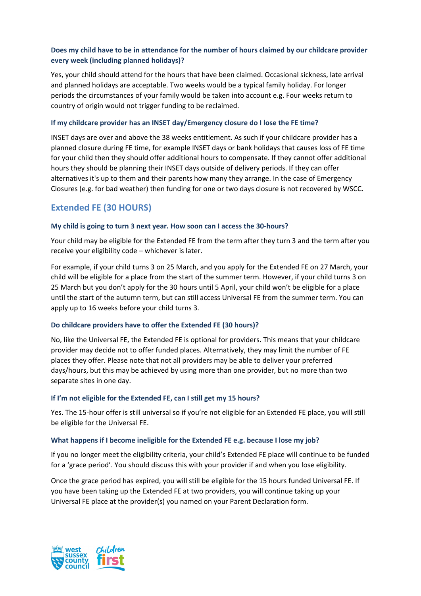# <span id="page-6-0"></span>**Does my child have to be in attendance for the number of hours claimed by our childcare provider every week (including planned holidays)?**

Yes, your child should attend for the hours that have been claimed. Occasional sickness, late arrival and planned holidays are acceptable. Two weeks would be a typical family holiday. For longer periods the circumstances of your family would be taken into account e.g. Four weeks return to country of origin would not trigger funding to be reclaimed.

#### <span id="page-6-1"></span>**If my childcare provider has an INSET day/Emergency closure do I lose the FE time?**

INSET days are over and above the 38 weeks entitlement. As such if your childcare provider has a planned closure during FE time, for example INSET days or bank holidays that causes loss of FE time for your child then they should offer additional hours to compensate. If they cannot offer additional hours they should be planning their INSET days outside of delivery periods. If they can offer alternatives it's up to them and their parents how many they arrange. In the case of Emergency Closures (e.g. for bad weather) then funding for one or two days closure is not recovered by WSCC.

# <span id="page-6-2"></span>**Extended FE (30 HOURS)**

#### <span id="page-6-3"></span>**My child is going to turn 3 next year. How soon can I access the 30-hours?**

Your child may be eligible for the Extended FE from the term after they turn 3 and the term after you receive your eligibility code – whichever is later.

For example, if your child turns 3 on 25 March, and you apply for the Extended FE on 27 March, your child will be eligible for a place from the start of the summer term. However, if your child turns 3 on 25 March but you don't apply for the 30 hours until 5 April, your child won't be eligible for a place until the start of the autumn term, but can still access Universal FE from the summer term. You can apply up to 16 weeks before your child turns 3.

### <span id="page-6-4"></span>**Do childcare providers have to offer the Extended FE (30 hours)?**

No, like the Universal FE, the Extended FE is optional for providers. This means that your childcare provider may decide not to offer funded places. Alternatively, they may limit the number of FE places they offer. Please note that not all providers may be able to deliver your preferred days/hours, but this may be achieved by using more than one provider, but no more than two separate sites in one day.

#### <span id="page-6-5"></span>**If I'm not eligible for the Extended FE, can I still get my 15 hours?**

Yes. The 15-hour offer is still universal so if you're not eligible for an Extended FE place, you will still be eligible for the Universal FE.

#### <span id="page-6-6"></span>**What happens if I become ineligible for the Extended FE e.g. because I lose my job?**

If you no longer meet the eligibility criteria, your child's Extended FE place will continue to be funded for a 'grace period'. You should discuss this with your provider if and when you lose eligibility.

Once the grace period has expired, you will still be eligible for the 15 hours funded Universal FE. If you have been taking up the Extended FE at two providers, you will continue taking up your Universal FE place at the provider(s) you named on your Parent Declaration form.

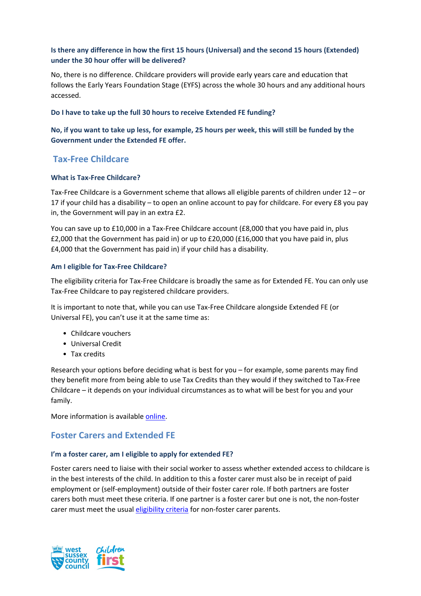# <span id="page-7-0"></span>**Is there any difference in how the first 15 hours (Universal) and the second 15 hours (Extended) under the 30 hour offer will be delivered?**

No, there is no difference. Childcare providers will provide early years care and education that follows the Early Years Foundation Stage (EYFS) across the whole 30 hours and any additional hours accessed.

#### <span id="page-7-1"></span>**Do I have to take up the full 30 hours to receive Extended FE funding?**

# <span id="page-7-2"></span>**No, if you want to take up less, for example, 25 hours per week, this will still be funded by the Government under the Extended FE offer.**

# <span id="page-7-3"></span>**Tax-Free Childcare**

### <span id="page-7-4"></span>**What is Tax-Free Childcare?**

Tax-Free Childcare is a Government scheme that allows all eligible parents of children under 12 – or 17 if your child has a disability – to open an online account to pay for childcare. For every £8 you pay in, the Government will pay in an extra £2.

You can save up to £10,000 in a Tax-Free Childcare account (£8,000 that you have paid in, plus £2,000 that the Government has paid in) or up to £20,000 (£16,000 that you have paid in, plus £4,000 that the Government has paid in) if your child has a disability.

#### <span id="page-7-5"></span>**Am I eligible for Tax-Free Childcare?**

The eligibility criteria for Tax-Free Childcare is broadly the same as for Extended FE. You can only use Tax-Free Childcare to pay registered childcare providers.

It is important to note that, while you can use Tax-Free Childcare alongside Extended FE (or Universal FE), you can't use it at the same time as:

- Childcare vouchers
- Universal Credit
- Tax credits

Research your options before deciding what is best for you – for example, some parents may find they benefit more from being able to use Tax Credits than they would if they switched to Tax-Free Childcare – it depends on your individual circumstances as to what will be best for you and your family.

More information is available [online.](https://www.westsussex.gov.uk/childcarecosts)

# <span id="page-7-6"></span>**Foster Carers and Extended FE**

### <span id="page-7-7"></span>**I'm a foster carer, am I eligible to apply for extended FE?**

Foster carers need to liaise with their social worker to assess whether extended access to childcare is in the best interests of the child. In addition to this a foster carer must also be in receipt of paid employment or (self-employment) outside of their foster carer role. If both partners are foster carers both must meet these criteria. If one partner is a foster carer but one is not, the non-foster carer must meet the usual [eligibility criteria](https://www.westsussex.gov.uk/freechildcare) for non-foster carer parents.

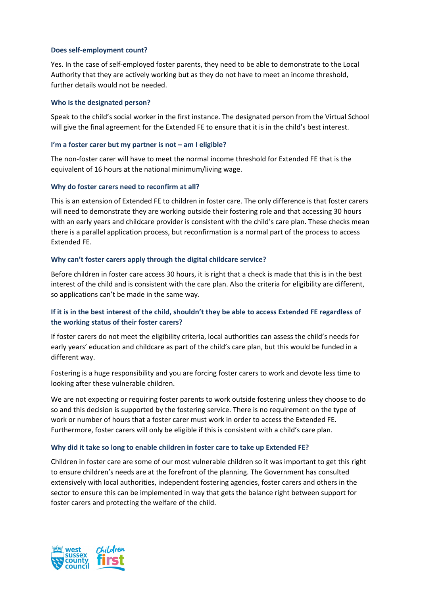#### <span id="page-8-0"></span>**Does self-employment count?**

Yes. In the case of self-employed foster parents, they need to be able to demonstrate to the Local Authority that they are actively working but as they do not have to meet an income threshold, further details would not be needed.

#### <span id="page-8-1"></span>**Who is the designated person?**

Speak to the child's social worker in the first instance. The designated person from the Virtual School will give the final agreement for the Extended FE to ensure that it is in the child's best interest.

#### <span id="page-8-2"></span>**I'm a foster carer but my partner is not – am I eligible?**

The non-foster carer will have to meet the normal income threshold for Extended FE that is the equivalent of 16 hours at the national minimum/living wage.

#### <span id="page-8-3"></span>**Why do foster carers need to reconfirm at all?**

This is an extension of Extended FE to children in foster care. The only difference is that foster carers will need to demonstrate they are working outside their fostering role and that accessing 30 hours with an early years and childcare provider is consistent with the child's care plan. These checks mean there is a parallel application process, but reconfirmation is a normal part of the process to access Extended FE.

#### <span id="page-8-4"></span>**Why can't foster carers apply through the digital childcare service?**

Before children in foster care access 30 hours, it is right that a check is made that this is in the best interest of the child and is consistent with the care plan. Also the criteria for eligibility are different, so applications can't be made in the same way.

# <span id="page-8-5"></span>**If it is in the best interest of the child, shouldn't they be able to access Extended FE regardless of the working status of their foster carers?**

If foster carers do not meet the eligibility criteria, local authorities can assess the child's needs for early years' education and childcare as part of the child's care plan, but this would be funded in a different way.

Fostering is a huge responsibility and you are forcing foster carers to work and devote less time to looking after these vulnerable children.

We are not expecting or requiring foster parents to work outside fostering unless they choose to do so and this decision is supported by the fostering service. There is no requirement on the type of work or number of hours that a foster carer must work in order to access the Extended FE. Furthermore, foster carers will only be eligible if this is consistent with a child's care plan.

#### <span id="page-8-6"></span>**Why did it take so long to enable children in foster care to take up Extended FE?**

Children in foster care are some of our most vulnerable children so it was important to get this right to ensure children's needs are at the forefront of the planning. The Government has consulted extensively with local authorities, independent fostering agencies, foster carers and others in the sector to ensure this can be implemented in way that gets the balance right between support for foster carers and protecting the welfare of the child.